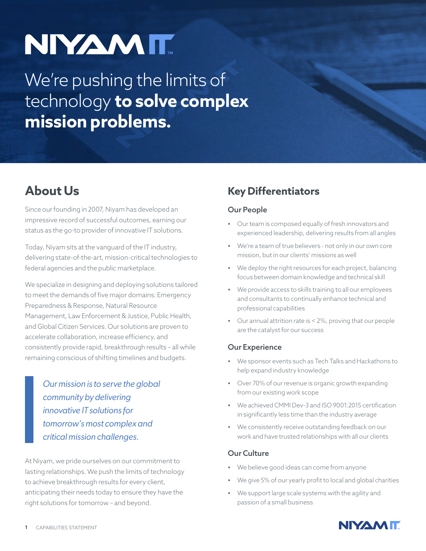# NIYAMIT

# We're pushing the limits of technology **to solve complex mission problems.**

# **About Us**

Since our founding in 2007, Niyam has developed an impressive record of successful outcomes, earning our status as the go-to provider of innovative IT solutions.

Today, Niyam sits at the vanguard of the IT industry, delivering state-of-the-art, mission-critical technologies to federal agencies and the public marketplace.

We specialize in designing and deploying solutions tailored to meet the demands of five major domains: Emergency Preparedness & Response, Natural Resource Management, Law Enforcement & Justice, Public Health, and Global Citizen Services. Our solutions are proven to accelerate collaboration, increase efficiency, and consistently provide rapid, breakthrough results – all while remaining conscious of shifting timelines and budgets.

> *Our mission is to serve the global community by delivering innovative IT solutions for tomorrow's most complex and critical mission challenges.*

At Niyam, we pride ourselves on our commitment to lasting relationships. We push the limits of technology to achieve breakthrough results for every client, anticipating their needs today to ensure they have the right solutions for tomorrow – and beyond.

## **Key Differentiators**

#### Our People

- **•** Our team is composed equally of fresh innovators and experienced leadership, delivering results from all angles
- **•** We're a team of true believers not only in our own core mission, but in our clients' missions as well
- **•** We deploy the right resources for each project, balancing focus between domain knowledge and technical skill
- **•** We provide access to skills training to all our employees and consultants to continually enhance technical and professional capabilities
- **•** Our annual attrition rate is < 2%, proving that our people are the catalyst for our success

#### Our Experience

- **•** We sponsor events such as Tech Talks and Hackathons to help expand industry knowledge
- **•** Over 70% of our revenue is organic growth expanding from our existing work scope
- **•** We achieved CMMI Dev-3 and ISO 9001:2015 certification in significantly less time than the industry average
- **•** We consistently receive outstanding feedback on our work and have trusted relationships with all our clients

#### Our Culture

- **•** We believe good ideas can come from anyone
- **•** We give 5% of our yearly profit to local and global charities
- **•** We support large scale systems with the agility and passion of a small business